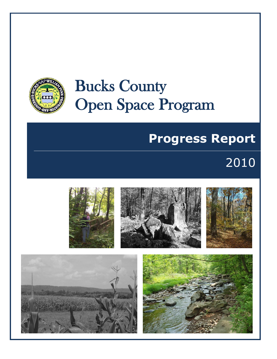

# Bucks County Open Space Program

# **Progress Report**

## 2010

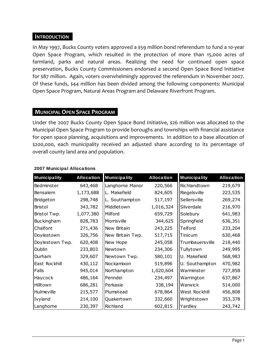#### **INTRODUCTION .**

In May 1997, Bucks County voters approved a \$59 million bond referendum to fund a 10-year Open Space Program, which resulted in the protection of more than 15,000 acres of farmland, parks and natural areas. Realizing the need for continued open space preservation, Bucks County Commissioners endorsed a second Open Space Bond Initiative for \$87 million. Again, voters overwhelmingly approved the referendum in November 2007. Of these funds, \$44 million has been divided among the following components: Municipal Open Space Program, Natural Areas Program and Delaware Riverfront Program.

#### **MUNICIPAL OPEN SPACE PROGRAM .**

Under the 2007 Bucks County Open Space Bond Initiative, \$26 million was allocated to the Municipal Open Space Program to provide boroughs and townships with financial assistance for open space planning, acquisitions and improvements. In addition to a base allocation of \$200,000, each municipality received an adjusted share according to its percentage of overall county land area and population.

| <b>Municipality</b> | <b>Allocation</b> | <b>Municipality</b> | <b>Allocation</b> | <b>Municipality</b> | Allocation |
|---------------------|-------------------|---------------------|-------------------|---------------------|------------|
| Bedminster          | 643,468           | Langhorne Manor     | 220,566           | Richlandtown        | 219,679    |
| Bensalem            | 1,173,688         | L. Makefield        | 824,605           | Riegelsville        | 223,535    |
| Bridgeton           | 298,748           | L. Southampton      | 517,197           | Sellersville        | 269,274    |
| <b>Bristol</b>      | 343,782           | Middletown          | 1,016,324         | Silverdale          | 216,970    |
| Bristol Twp.        | 1,077,380         | Milford             | 659,729           | Solebury            | 641,983    |
| Buckingham          | 828,783           | Morrisville         | 344,625           | Springfield         | 636,351    |
| Chalfont            | 271,436           | New Britain         | 243,225           | Telford             | 233,204    |
| Doylestown          | 326,756           | New Britain Twp.    | 517,715           | Tinicum             | 630,468    |
| Doylestown Twp.     | 620,408           | New Hope            | 245,058           | Trumbauersville     | 218,440    |
| Dublin              | 233,803           | Newtown             | 234,306           | Tullytown           | 249,995    |
| Durham              | 329,607           | Newtown Twp.        | 580,101           | U. Makefield        | 568,983    |
| East Rockhill       | 430,112           | Nockamixon          | 519,896           | U. Southampton      | 470,982    |
| Falls               | 945,014           | Northampton         | 1,020,604         | Warminster          | 727,858    |
| Haycock             | 486,164           | Penndel             | 234,497           | Warrington          | 637,867    |
| Hilltown            | 686,281           | Perkasie            | 338,194           | Warwick             | 514,000    |
| Hulmeville          | 215,577           | Plumstead           | 678,864           | West Rockhill       | 456,808    |
| Ivyland             | 214,100           | Quakertown          | 332,660           | Wrightstown         | 353,378    |
| Langhorne           | 230,397           | Richland            | 602,815           | Yardley             | 243,742    |

#### **2007 Municipal Allocations**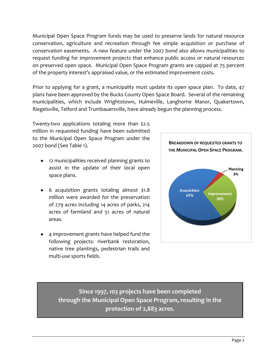Municipal Open Space Program funds may be used to preserve lands for natural resource conservation, agriculture and recreation through fee simple acquisition or purchase of conservation easements. A new feature under the 2007 bond also allows municipalities to request funding for improvement projects that enhance public access or natural resources on preserved open space. Municipal Open Space Program grants are capped at 75 percent of the property interest's appraised value, or the estimated improvement costs.

Prior to applying for a grant, a municipality must update its open space plan. To date, 47 plans have been approved by the Bucks County Open Space Board. Several of the remaining municipalities, which include Wrightstown, Hulmeville, Langhorne Manor, Quakertown, Riegelsville, Telford and Trumbauersville, have already begun the planning process.

Twenty-two applications totaling more than \$2.5 million in requested funding have been submitted to the Municipal Open Space Program under the 2007 bond (See Table 1).

- 12 municipalities received planning grants to assist in the update of their local open space plans.
- 6 acquisition grants totaling almost \$1.8 million were awarded for the preservation of 279 acres including 14 acres of parks, 214 acres of farmland and 51 acres of natural areas.
- 4 improvement grants have helped fund the following projects: riverbank restoration, native tree plantings, pedestrian trails and multi-use sports fields.



**Since 1997, 103 projects have been completed through the Municipal Open Space Program, resulting in the protection of 2,883 acres.**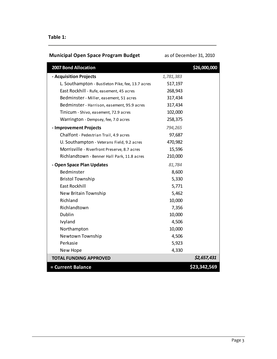#### **Table 1:**

### **Municipal Open Space Program Budget as of December 31, 2010**

| 2007 Bond Allocation                             |             | \$26,000,000 |
|--------------------------------------------------|-------------|--------------|
| - Acquisition Projects                           | 1,781,383   |              |
| L. Southampton - Bustleton Pike, fee, 13.7 acres | 517,197     |              |
| East Rockhill - Rufe, easement, 45 acres         | 268,943     |              |
| Bedminster - Miller, easement, 51 acres          | 317,434     |              |
| Bedminster - Harrison, easement, 95.9 acres      | 317,434     |              |
| Tinicum - Shivo, easement, 72.9 acres            | 102,000     |              |
| Warrington - Dempsey, fee, 7.0 acres             | 258,375     |              |
| - Improvement Projects                           | 794,265     |              |
| Chalfont - Pedestrian Trail, 4.9 acres           | 97,687      |              |
| U. Southampton - Veterans Field, 9.2 acres       | 470,982     |              |
| Morrisville - Riverfront Preserve, 8.7 acres     | 15,596      |              |
| Richlandtown - Benner Hall Park, 11.8 acres      | 210,000     |              |
| - Open Space Plan Updates                        | 81,784      |              |
| Bedminster                                       | 8,600       |              |
| <b>Bristol Township</b>                          | 5,330       |              |
| <b>East Rockhill</b>                             | 5,771       |              |
| New Britain Township                             | 5,462       |              |
| Richland                                         | 10,000      |              |
| Richlandtown                                     | 7,356       |              |
| Dublin                                           | 10,000      |              |
| Ivyland                                          | 4,506       |              |
| Northampton                                      | 10,000      |              |
| Newtown Township                                 | 4,506       |              |
| Perkasie                                         | 5,923       |              |
| New Hope                                         | 4,330       |              |
| <b>TOTAL FUNDING APPROVED</b>                    | \$2,657,431 |              |
| = Current Balance                                |             | \$23,342,569 |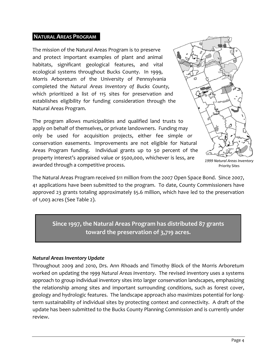#### **NATURAL AREAS PROGRAM .**

The mission of the Natural Areas Program is to preserve and protect important examples of plant and animal habitats, significant geological features, and vital ecological systems throughout Bucks County. In 1999, Morris Arboretum of the University of Pennsylvania completed the *Natural Areas Inventory of Bucks County,*  which prioritized a list of 115 sites for preservation and establishes eligibility for funding consideration through the Natural Areas Program.

The program allows municipalities and qualified land trusts to apply on behalf of themselves, or private landowners. Funding may only be used for acquisition projects, either fee simple or conservation easements. Improvements are not eligible for Natural Areas Program funding. Individual grants up to 50 percent of the property interest's appraised value or \$500,000, whichever is less, are awarded through a competitive process.

*1999 Natural Areas Inventory* Priority Sites

The Natural Areas Program received \$11 million from the 2007 Open Space Bond. Since 2007, 41 applications have been submitted to the program. To date, County Commissioners have approved 23 grants totaling approximately \$5.6 million, which have led to the preservation of 1,003 acres (See Table 2).

**Since 1997, the Natural Areas Program has distributed 87 grants toward the preservation of 3,719 acres.**

#### *Natural Areas Inventory Update*

Throughout 2009 and 2010, Drs. Ann Rhoads and Timothy Block of the Morris Arboretum worked on updating the *1999 Natural Areas Inventory*. The revised inventory uses a systems approach to group individual inventory sites into larger conservation landscapes, emphasizing the relationship among sites and important surrounding conditions, such as forest cover, geology and hydrologic features. The landscape approach also maximizes potential for longterm sustainability of individual sites by protecting context and connectivity. A draft of the update has been submitted to the Bucks County Planning Commission and is currently under review.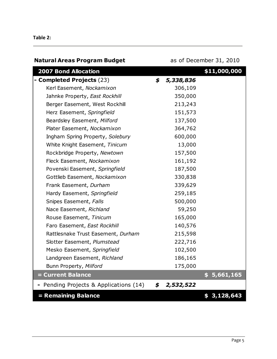#### **Table 2:**

| <b>Natural Areas Program Budget</b>  | as of December 31, 2010 |              |
|--------------------------------------|-------------------------|--------------|
| <b>2007 Bond Allocation</b>          |                         | \$11,000,000 |
| - Completed Projects (23)            | \$<br>5,338,836         |              |
| Kerl Easement, Nockamixon            | 306,109                 |              |
| Jahnke Property, East Rockhill       | 350,000                 |              |
| Berger Easement, West Rockhill       | 213,243                 |              |
| Herz Easement, Springfield           | 151,573                 |              |
| Beardsley Easement, Milford          | 137,500                 |              |
| Plater Easement, Nockamixon          | 364,762                 |              |
| Ingham Spring Property, Solebury     | 600,000                 |              |
| White Knight Easement, Tinicum       | 13,000                  |              |
| Rockbridge Property, Newtown         | 157,500                 |              |
| Fleck Easement, Nockamixon           | 161,192                 |              |
| Povenski Easement, Springfield       | 187,500                 |              |
| Gottlieb Easement, Nockamixon        | 330,838                 |              |
| Frank Easement, Durham               | 339,629                 |              |
| Hardy Easement, Springfield          | 259,185                 |              |
| Snipes Easement, Falls               | 500,000                 |              |
| Nace Easement, Richland              | 59,250                  |              |
| Rouse Easement, Tinicum              | 165,000                 |              |
| Faro Easement, East Rockhill         | 140,576                 |              |
| Rattlesnake Trust Easement, Durham   | 215,598                 |              |
| Slotter Easement, Plumstead          | 222,716                 |              |
| Mesko Easement, Springfield          | 102,500                 |              |
| Landgreen Easement, Richland         | 186,165                 |              |
| Bunn Property, Milford               | 175,000                 |              |
| = Current Balance                    | \$.                     | 5,661,165    |
| Pending Projects & Applications (14) | \$<br>2,532,522         |              |
| = Remaining Balance                  |                         | \$3,128,643  |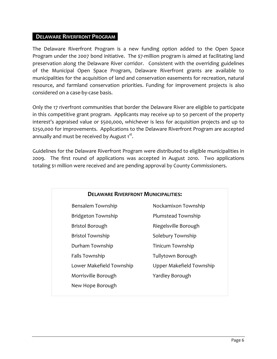#### **DELAWARE RIVERFRONT PROGRAM** :

The Delaware Riverfront Program is a new funding option added to the Open Space Program under the 2007 bond initiative. The \$7-million program is aimed at facilitating land preservation along the Delaware River corridor. Consistent with the overriding guidelines of the Municipal Open Space Program, Delaware Riverfront grants are available to municipalities for the acquisition of land and conservation easements for recreation, natural resource, and farmland conservation priorities. Funding for improvement projects is also considered on a case-by-case basis.

Only the 17 riverfront communities that border the Delaware River are eligible to participate in this competitive grant program. Applicants may receive up to 50 percent of the property interest's appraised value or \$500,000, whichever is less for acquisition projects and up to \$250,000 for improvements. Applications to the Delaware Riverfront Program are accepted annually and must be received by August 1 $^{\rm st}$ .

Guidelines for the Delaware Riverfront Program were distributed to eligible municipalities in 2009. The first round of applications was accepted in August 2010. Two applications totaling \$1 million were received and are pending approval by County Commissioners.

| <b>DELAWARE RIVERFRONT MUNICIPALITIES:</b> |                          |  |  |  |
|--------------------------------------------|--------------------------|--|--|--|
| Bensalem Township                          | Nockamixon Township      |  |  |  |
| Bridgeton Township                         | Plumstead Township       |  |  |  |
| <b>Bristol Borough</b>                     | Riegelsville Borough     |  |  |  |
| <b>Bristol Township</b>                    | Solebury Township        |  |  |  |
| Durham Township                            | Tinicum Township         |  |  |  |
| Falls Township                             | Tullytown Borough        |  |  |  |
| Lower Makefield Township                   | Upper Makefield Township |  |  |  |
| Morrisville Borough<br>Yardley Borough     |                          |  |  |  |
| New Hope Borough                           |                          |  |  |  |
|                                            |                          |  |  |  |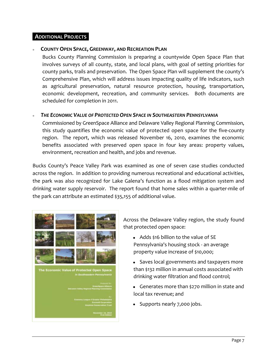#### **ADDITIONAL PROJECTS** :

#### **COUNTY OPEN SPACE, GREENWAY, AND RECREATION PLAN**

Bucks County Planning Commission is preparing a countywide Open Space Plan that involves surveys of all county, state, and local plans, with goal of setting priorities for county parks, trails and preservation. The Open Space Plan will supplement the county's Comprehensive Plan, which will address issues impacting quality of life indicators, such as agricultural preservation, natural resource protection, housing, transportation, economic development, recreation, and community services. Both documents are scheduled for completion in 2011.

#### *THE ECONOMIC VALUE OF PROTECTED OPEN SPACE IN SOUTHEASTERN PENNSYLVANIA*

Commissioned by GreenSpace Alliance and Delaware Valley Regional Planning Commission, this study quantifies the economic value of protected open space for the five-county region. The report, which was released November 16, 2010, examines the economic benefits associated with preserved open space in four key areas: property values, environment, recreation and health, and jobs and revenue.

Bucks County's Peace Valley Park was examined as one of seven case studies conducted across the region. In addition to providing numerous recreational and educational activities, the park was also recognized for Lake Galena's function as a flood mitigation system and drinking water supply reservoir. The report found that home sales within a quarter-mile of the park can attribute an estimated \$35,155 of additional value.



Across the Delaware Valley region, the study found that protected open space:

- Adds \$16 billion to the value of SE Pennsylvania's housing stock - an average property value increase of \$10,000;
- Saves local governments and taxpayers more than \$132 million in annual costs associated with drinking water filtration and flood control;
- Generates more than \$270 million in state and local tax revenue; and
- Supports nearly 7,000 jobs.